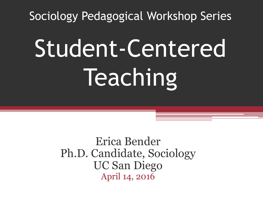Sociology Pedagogical Workshop Series

# Student-Centered Teaching

Erica Bender Ph.D. Candidate, Sociology UC San Diego April 14, 2016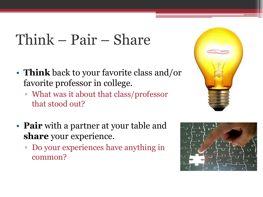# Think – Pair – Share

- **Think** back to your favorite class and/or favorite professor in college.
	- What was it about that class/professor that stood out?
- **Pair** with a partner at your table and **share** your experience.
	- Do your experiences have anything in common?



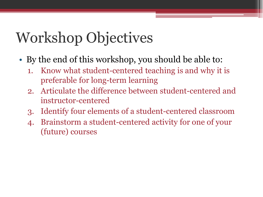# Workshop Objectives

- By the end of this workshop, you should be able to:
	- 1. Know what student-centered teaching is and why it is preferable for long-term learning
	- 2. Articulate the difference between student-centered and instructor-centered
	- 3. Identify four elements of a student-centered classroom
	- 4. Brainstorm a student-centered activity for one of your (future) courses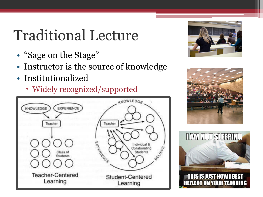# Traditional Lecture

- "Sage on the Stage"
- Instructor is the source of knowledge
- Institutionalized
	- Widely recognized/supported







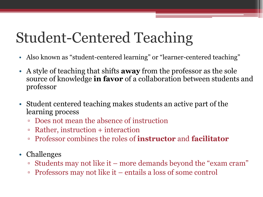# Student-Centered Teaching

- Also known as "student-centered learning" or "learner-centered teaching"
- A style of teaching that shifts **away** from the professor as the sole source of knowledge **in favor** of a collaboration between students and professor
- Student centered teaching makes students an active part of the learning process
	- Does not mean the absence of instruction
	- Rather, instruction + interaction
	- Professor combines the roles of **instructor** and **facilitator**
- Challenges
	- Students may not like it more demands beyond the "exam cram"
	- Professors may not like it entails a loss of some control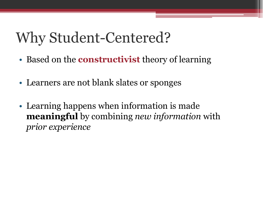- Based on the **constructivist** theory of learning
- Learners are not blank slates or sponges
- Learning happens when information is made **meaningful** by combining *new information* with *prior experience*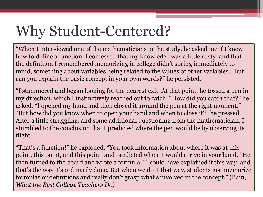"When I interviewed one of the mathematicians in the study, he asked me if I knew how to define a function. I confessed that my knowledge was a little rusty, and that the definition I remembered memorizing in college didn't spring immediately to mind, something about variables being related to the values of other variables. "But can you explain the basic concept in your own words?" he persisted.

"I stammered and began looking for the nearest exit. At that point, he tossed a pen in my direction, which I instinctively reached out to catch. "How did you catch that?" he asked. "I opened my hand and then closed it around the pen at the right moment." "But how did you know when to open your hand and when to close it?" he pressed. After a little struggling, and some additional questioning from the mathematician, I stumbled to the conclusion that I predicted where the pen would be by observing its flight.

"That's a function!" he exploded. "You took information about where it was at this point, this point, and this point, and predicted when it would arrive in your hand." He then turned to the board and wrote a formula. "I could have explained it this way, and that's the way it's ordinarily done. But when we do it that way, students just memorize formulas or definitions and really don't grasp what's involved in the concept." (Bain, *What the Best College Teachers Do)*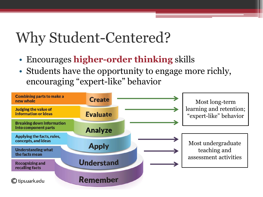- Encourages **higher-order thinking** skills
- Students have the opportunity to engage more richly, encouraging "expert-like" behavior

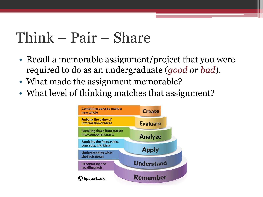# Think – Pair – Share

- Recall a memorable assignment/project that you were required to do as an undergraduate (*good or bad*).
- What made the assignment memorable?
- What level of thinking matches that assignment?

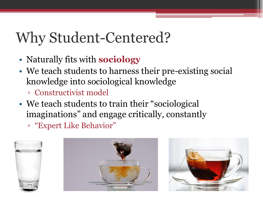- Naturally fits with **sociology**
- We teach students to harness their pre-existing social knowledge into sociological knowledge
	- Constructivist model
- We teach students to train their "sociological imaginations" and engage critically, constantly
	- "Expert Like Behavior"





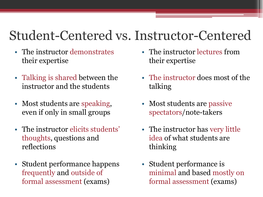#### Student-Centered vs. Instructor-Centered

- The instructor demonstrates their expertise
- Talking is shared between the instructor and the students
- Most students are speaking, even if only in small groups
- The instructor elicits students' thoughts, questions and reflections
- Student performance happens frequently and outside of formal assessment (exams)
- The instructor lectures from their expertise
- The instructor does most of the talking
- Most students are passive spectators/note-takers
- The instructor has very little idea of what students are thinking
- Student performance is minimal and based mostly on formal assessment (exams)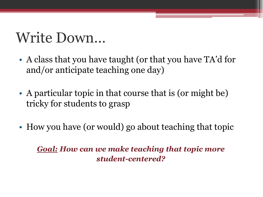# Write Down…

- A class that you have taught (or that you have TA'd for and/or anticipate teaching one day)
- A particular topic in that course that is (or might be) tricky for students to grasp
- How you have (or would) go about teaching that topic

*Goal: How can we make teaching that topic more student-centered?*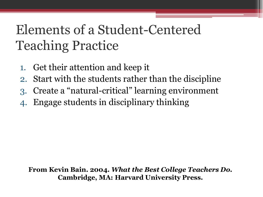- 1. Get their attention and keep it
- 2. Start with the students rather than the discipline
- 3. Create a "natural-critical" learning environment
- 4. Engage students in disciplinary thinking

**From Kevin Bain. 2004.** *What the Best College Teachers Do***. Cambridge, MA: Harvard University Press.**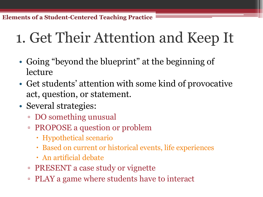# 1. Get Their Attention and Keep It

- Going "beyond the blueprint" at the beginning of lecture
- Get students' attention with some kind of provocative act, question, or statement.
- Several strategies:
	- DO something unusual
	- PROPOSE a question or problem
		- Hypothetical scenario
		- Based on current or historical events, life experiences
		- An artificial debate
	- PRESENT a case study or vignette
	- PLAY a game where students have to interact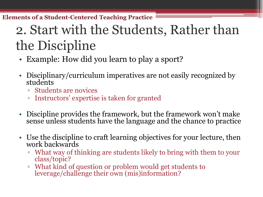## 2. Start with the Students, Rather than the Discipline

- Example: How did you learn to play a sport?
- Disciplinary/curriculum imperatives are not easily recognized by students
	- Students are novices
	- Instructors' expertise is taken for granted
- Discipline provides the framework, but the framework won't make sense unless students have the language and the chance to practice
- Use the discipline to craft learning objectives for your lecture, then work backwards
	- What way of thinking are students likely to bring with them to your class/topic?
	- What kind of question or problem would get students to leverage/challenge their own (mis)information?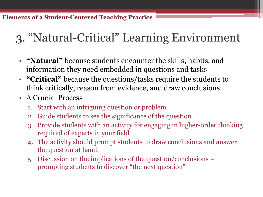#### 3. "Natural-Critical" Learning Environment

- **"Natural"** because students encounter the skills, habits, and information they need embedded in questions and tasks
- **"Critical"** because the questions/tasks require the students to think critically, reason from evidence, and draw conclusions.
- A Crucial Process
	- 1. Start with an intriguing question or problem
	- 2. Guide students to see the significance of the question
	- 3. Provide students with an activity for engaging in higher-order thinking required of experts in your field
	- 4. The activity should prompt students to draw conclusions and answer the question at hand.
	- 5. Discussion on the implications of the question/conclusions prompting students to discover "the next question"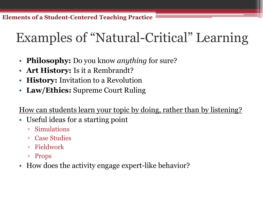### Examples of "Natural-Critical" Learning

- **Philosophy:** Do you know *anything* for sure?
- **Art History:** Is it a Rembrandt?
- **History:** Invitation to a Revolution
- **Law/Ethics:** Supreme Court Ruling

How can students learn your topic by doing, rather than by listening?

- Useful ideas for a starting point
	- Simulations
	- Case Studies
	- Fieldwork
	- Props
- How does the activity engage expert-like behavior?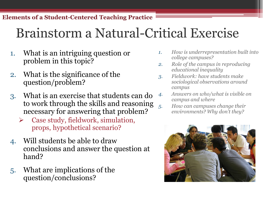#### Brainstorm a Natural-Critical Exercise

- 1. What is an intriguing question or problem in this topic?
- 2. What is the significance of the question/problem?
- 3. What is an exercise that students can do to work through the skills and reasoning necessary for answering that problem?
	- $\triangleright$  Case study, fieldwork, simulation, props, hypothetical scenario?
- 4. Will students be able to draw conclusions and answer the question at hand?
- 5. What are implications of the question/conclusions?
- *1. How is underrepresentation built into college campuses?*
- *2. Role of the campus in reproducing educational inequality*
- *3. Fieldwork: have students make sociological observations around campus*
- *4. Answers on who/what is visible on campus and where*
- *5. How can campuses change their environments? Why don't they?*

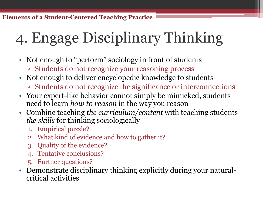# 4. Engage Disciplinary Thinking

- Not enough to "perform" sociology in front of students
	- Students do not recognize your reasoning process
- Not enough to deliver encyclopedic knowledge to students
	- Students do not recognize the significance or interconnections
- Your expert-like behavior cannot simply be mimicked, students need to learn *how to reason* in the way you reason
- Combine teaching *the curriculum/content* with teaching students *the skills* for thinking sociologically
	- 1. Empirical puzzle?
	- 2. What kind of evidence and how to gather it?
	- 3. Quality of the evidence?
	- Tentative conclusions?
	- 5. Further questions?
- Demonstrate disciplinary thinking explicitly during your naturalcritical activities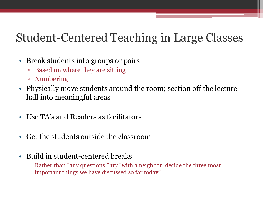#### Student-Centered Teaching in Large Classes

- Break students into groups or pairs
	- Based on where they are sitting
	- Numbering
- Physically move students around the room; section off the lecture hall into meaningful areas
- Use TA's and Readers as facilitators
- Get the students outside the classroom
- Build in student-centered breaks
	- Rather than "any questions," try "with a neighbor, decide the three most important things we have discussed so far today"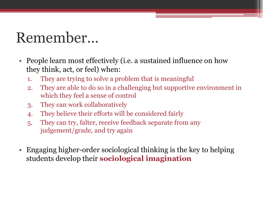# Remember…

- People learn most effectively (i.e. a sustained influence on how they think, act, or feel) when:
	- 1. They are trying to solve a problem that is meaningful
	- 2. They are able to do so in a challenging but supportive environment in which they feel a sense of control
	- 3. They can work collaboratively
	- 4. They believe their efforts will be considered fairly
	- 5. They can try, falter, receive feedback separate from any judgement/grade, and try again
- Engaging higher-order sociological thinking is the key to helping students develop their **sociological imagination**